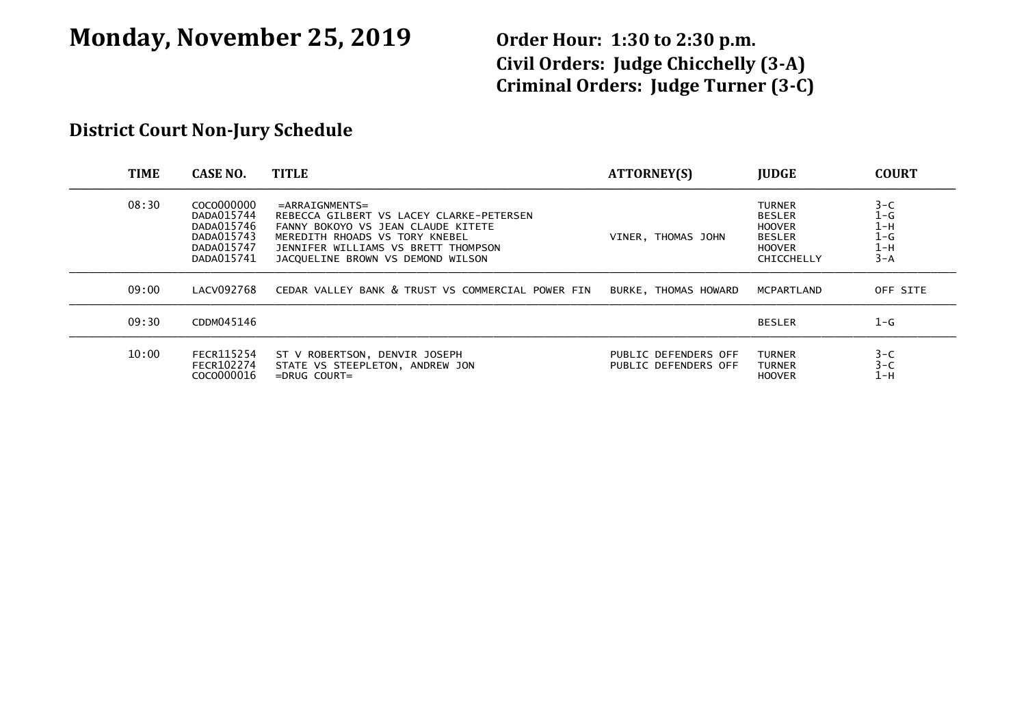# **Monday, November 25, 2019 Order Hour: 1:30 to 2:30 p.m.**

**Civil Orders: Judge Chicchelly (3-A) Criminal Orders: Judge Turner (3-C)**

### **District Court Non-Jury Schedule**

| <b>TIME</b> | <b>CASE NO.</b>                                                                  | <b>TITLE</b>                                                                                                                                                                                                      | <b>ATTORNEY(S)</b>                           | <b>IUDGE</b>                                                                                    | <b>COURT</b>                                       |
|-------------|----------------------------------------------------------------------------------|-------------------------------------------------------------------------------------------------------------------------------------------------------------------------------------------------------------------|----------------------------------------------|-------------------------------------------------------------------------------------------------|----------------------------------------------------|
| 08:30       | COCO000000<br>DADA015744<br>DADA015746<br>DADA015743<br>DADA015747<br>DADA015741 | $=$ ARRAIGNMENTS=<br>REBECCA GILBERT VS LACEY CLARKE-PETERSEN<br>FANNY BOKOYO VS JEAN CLAUDE KITETE<br>MEREDITH RHOADS VS TORY KNEBEL<br>JENNIFER WILLIAMS VS BRETT THOMPSON<br>JACQUELINE BROWN VS DEMOND WILSON | VINER, THOMAS JOHN                           | <b>TURNER</b><br><b>BESLER</b><br><b>HOOVER</b><br><b>BESLER</b><br><b>HOOVER</b><br>CHICCHELLY | $3-C$<br>1-G<br>$1-H$<br>$1-G$<br>$1-H$<br>$3 - A$ |
| 09:00       | LACV092768                                                                       | CEDAR VALLEY BANK & TRUST VS COMMERCIAL POWER FIN                                                                                                                                                                 | BURKE, THOMAS HOWARD                         | MCPARTLAND                                                                                      | OFF SITE                                           |
| 09:30       | CDDM045146                                                                       |                                                                                                                                                                                                                   |                                              | <b>BESLER</b>                                                                                   | $1-G$                                              |
| 10:00       | FECR115254<br>FECR102274<br>COCO000016                                           | ST V ROBERTSON, DENVIR JOSEPH<br>STATE VS STEEPLETON, ANDREW JON<br>$=DRUG$ COURT $=$                                                                                                                             | PUBLIC DEFENDERS OFF<br>PUBLIC DEFENDERS OFF | <b>TURNER</b><br><b>TURNER</b><br><b>HOOVER</b>                                                 | $3-C$<br>$3 - C$<br>1-н                            |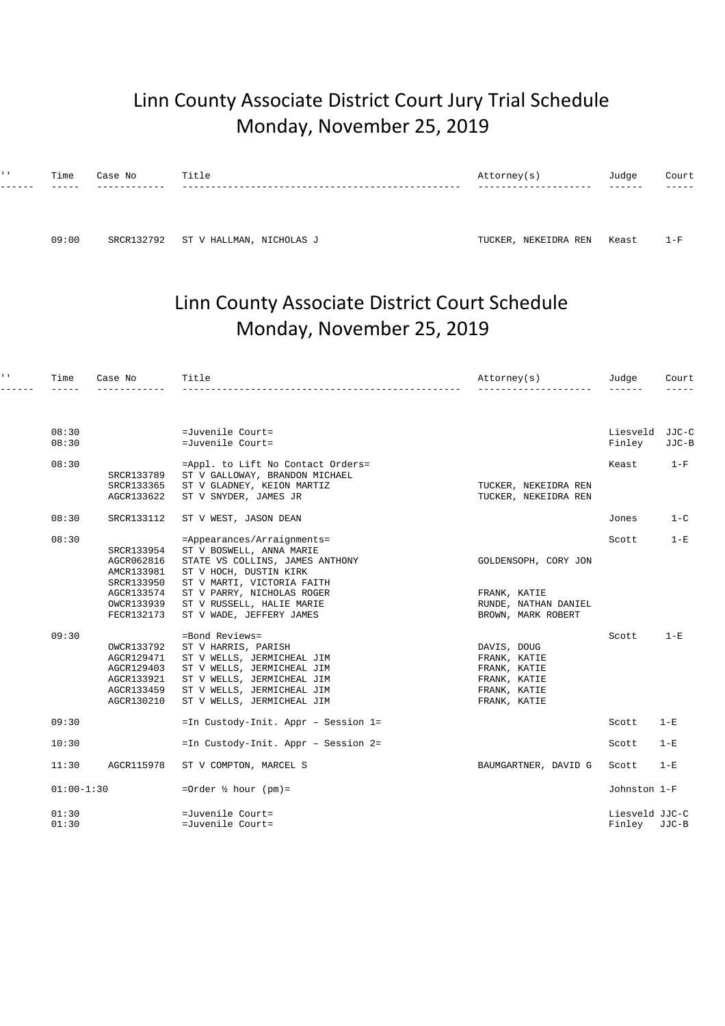## Linn County Associate District Court Jury Trial Schedule Monday, November 25, 2019

| $1 - 1$ | Time<br>----- | Case No | Title | Attorney(s) | Judge<br>------ | Court<br>_____ |
|---------|---------------|---------|-------|-------------|-----------------|----------------|
|         |               |         |       |             |                 |                |
|         |               |         |       |             |                 |                |
|         |               |         |       |             |                 |                |

09:00 SRCR132792 ST V HALLMAN, NICHOLAS J ST TUCKER, NEKEIDRA REN Keast 1-F

## Linn County Associate District Court Schedule Monday, November 25, 2019

| $\mathbf{I}=\mathbf{I}$ . | Time           | Case No                                                                          | Title                                                                                                                                                                                       | Attorney(s)                                                                                 | Judge                          | Court          |
|---------------------------|----------------|----------------------------------------------------------------------------------|---------------------------------------------------------------------------------------------------------------------------------------------------------------------------------------------|---------------------------------------------------------------------------------------------|--------------------------------|----------------|
|                           |                |                                                                                  |                                                                                                                                                                                             |                                                                                             |                                |                |
|                           | 08:30<br>08:30 |                                                                                  | $=Juvenile$ Court=<br>=Juvenile Court=                                                                                                                                                      |                                                                                             | Liesveld<br>Finley             | JJC-C<br>JJC-B |
|                           | 08:30          | SRCR133789<br>SRCR133365<br>AGCR133622                                           | =Appl. to Lift No Contact Orders=<br>ST V GALLOWAY, BRANDON MICHAEL<br>ST V GLADNEY, KEION MARTIZ<br>ST V SNYDER, JAMES JR                                                                  | TUCKER, NEKEIDRA REN<br>TUCKER, NEKEIDRA REN                                                | Keast                          | $1-F$          |
|                           | 08:30          | SRCR133112                                                                       | ST V WEST, JASON DEAN                                                                                                                                                                       |                                                                                             | Jones                          | $1 - C$        |
|                           | 08:30          | SRCR133954<br>AGCR062816<br>AMCR133981<br>SRCR133950<br>AGCR133574               | =Appearances/Arraignments=<br>ST V BOSWELL, ANNA MARIE<br>STATE VS COLLINS, JAMES ANTHONY<br>ST V HOCH, DUSTIN KIRK<br>ST V MARTI, VICTORIA FAITH<br>ST V PARRY, NICHOLAS ROGER             | GOLDENSOPH, CORY JON<br>FRANK, KATIE                                                        | Scott                          | $1-E$          |
|                           |                | OWCR133939<br>FECR132173                                                         | ST V RUSSELL, HALIE MARIE<br>ST V WADE, JEFFERY JAMES                                                                                                                                       | RUNDE, NATHAN DANIEL<br>BROWN, MARK ROBERT                                                  |                                |                |
|                           | 09:30          | OWCR133792<br>AGCR129471<br>AGCR129403<br>AGCR133921<br>AGCR133459<br>AGCR130210 | =Bond Reviews=<br>ST V HARRIS, PARISH<br>ST V WELLS, JERMICHEAL JIM<br>ST V WELLS, JERMICHEAL JIM<br>ST V WELLS, JERMICHEAL JIM<br>ST V WELLS, JERMICHEAL JIM<br>ST V WELLS, JERMICHEAL JIM | DAVIS, DOUG<br>FRANK, KATIE<br>FRANK, KATIE<br>FRANK, KATIE<br>FRANK, KATIE<br>FRANK, KATIE | Scott                          | $1 - E$        |
|                           | 09:30          |                                                                                  | =In Custody-Init. Appr - Session 1=                                                                                                                                                         |                                                                                             | Scott                          | $1-E$          |
|                           | 10:30          |                                                                                  | =In Custody-Init. Appr - Session 2=                                                                                                                                                         |                                                                                             | Scott                          | $1-E$          |
|                           | 11:30          | AGCR115978                                                                       | ST V COMPTON, MARCEL S                                                                                                                                                                      | BAUMGARTNER, DAVID G                                                                        | Scott                          | $1-E$          |
|                           | $01:00-1:30$   |                                                                                  | =Order $\frac{1}{2}$ hour (pm)=                                                                                                                                                             |                                                                                             | Johnston 1-F                   |                |
|                           | 01:30<br>01:30 |                                                                                  | =Juvenile Court=<br>=Juvenile Court=                                                                                                                                                        |                                                                                             | Liesveld JJC-C<br>Finley JJC-B |                |